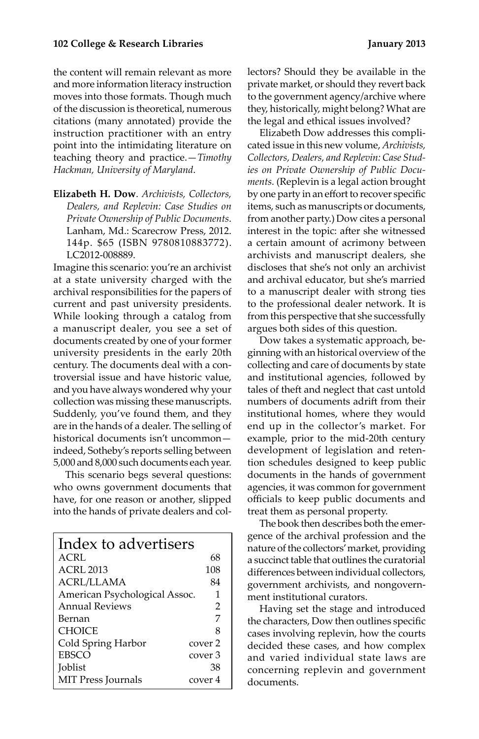the content will remain relevant as more and more information literacy instruction moves into those formats. Though much of the discussion is theoretical, numerous citations (many annotated) provide the instruction practitioner with an entry point into the intimidating literature on teaching theory and practice.—*Timothy Hackman, University of Maryland*.

**Elizabeth H. Dow**. *Archivists, Collectors, Dealers, and Replevin: Case Studies on Private Ownership of Public Documents*. Lanham, Md.: Scarecrow Press, 2012. 144p. \$65 (ISBN 9780810883772). LC2012-008889.

Imagine this scenario: you're an archivist at a state university charged with the archival responsibilities for the papers of current and past university presidents. While looking through a catalog from a manuscript dealer, you see a set of documents created by one of your former university presidents in the early 20th century. The documents deal with a controversial issue and have historic value, and you have always wondered why your collection was missing these manuscripts. Suddenly, you've found them, and they are in the hands of a dealer. The selling of historical documents isn't uncommon indeed, Sotheby's reports selling between 5,000 and 8,000 such documents each year.

This scenario begs several questions: who owns government documents that have, for one reason or another, slipped into the hands of private dealers and col-

| Index to advertisers          |         |
|-------------------------------|---------|
| ACRI.                         | 68      |
| ACRL 2013                     | 108     |
| ACRL/LLAMA                    | 84      |
| American Psychological Assoc. | 1       |
| Annual Reviews                | 2       |
| Bernan                        | 7       |
| <b>CHOICE</b>                 | 8       |
| Cold Spring Harbor            | cover 2 |
| <b>EBSCO</b>                  | cover 3 |
| <b>Joblist</b>                | 38      |
| <b>MIT Press Journals</b>     | cover 4 |

lectors? Should they be available in the private market, or should they revert back to the government agency/archive where they, historically, might belong? What are the legal and ethical issues involved?

Elizabeth Dow addresses this complicated issue in this new volume, *Archivists, Collectors, Dealers, and Replevin: Case Studies on Private Ownership of Public Documents.* (Replevin is a legal action brought by one party in an effort to recover specific items, such as manuscripts or documents, from another party.) Dow cites a personal interest in the topic: after she witnessed a certain amount of acrimony between archivists and manuscript dealers, she discloses that she's not only an archivist and archival educator, but she's married to a manuscript dealer with strong ties to the professional dealer network. It is from this perspective that she successfully argues both sides of this question.

Dow takes a systematic approach, beginning with an historical overview of the collecting and care of documents by state and institutional agencies, followed by tales of theft and neglect that cast untold numbers of documents adrift from their institutional homes, where they would end up in the collector's market. For example, prior to the mid-20th century development of legislation and retention schedules designed to keep public documents in the hands of government agencies, it was common for government officials to keep public documents and treat them as personal property.

The book then describes both the emergence of the archival profession and the nature of the collectors' market, providing a succinct table that outlines the curatorial differences between individual collectors, government archivists, and nongovernment institutional curators.

Having set the stage and introduced the characters, Dow then outlines specific cases involving replevin, how the courts decided these cases, and how complex and varied individual state laws are concerning replevin and government documents.